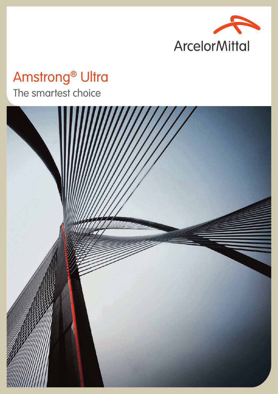

# Amstrong® Ultra The smartest choice

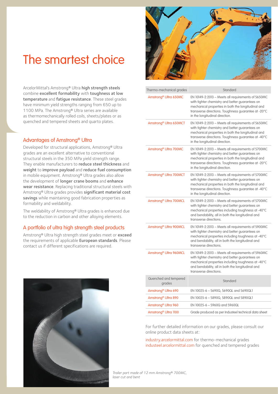## The smartest choice

ArcelorMittal's Amstrong® Ultra high strength steels combine excellent formability with toughness at low temperature and fatigue resistance. These steel grades have minimum yield strengths ranging from 650 up to 1100 MPa. The Amstrong® Ultra series are available as thermomechanically rolled coils, sheets/plates or as quenched and tempered sheets and quarto plates.

### Advantages of Amstrong® Ultra

Developed for structural applications, Amstrong® Ultra grades are an excellent alternative to conventional structural steels in the 350 MPa yield strength range. They enable manufacturers to reduce steel thickness and weight to improve payload and reduce fuel consumption in mobile equipment. Amstrong® Ultra grades also allow the development of longer crane booms and enhance wear resistance. Replacing traditional structural steels with Amstrong® Ultra grades provides significant material cost savings while maintaining good fabrication properties as formability and weldability.

The weldability of Amstrong® Ultra grades is enhanced due to the reduction in carbon and other alloying elements.

### A portfolio of ultra high strength steel products

Amstrong® Ultra high strength steel grades meet or exceed the requirements of applicable European standards. Please contact us if different specifications are required.



|  | Thermo-mechanical grades           | Standard                                                                                                                                                                                                                                             |  |  |  |  |  |  |  |  |
|--|------------------------------------|------------------------------------------------------------------------------------------------------------------------------------------------------------------------------------------------------------------------------------------------------|--|--|--|--|--|--|--|--|
|  | Amstrong <sup>®</sup> Ultra 650MC  | EN 10149-2:2013 - Meets all requirements of S650MC<br>with tighter chemistry and better guarantees on<br>mechanical properties in both the longitudinal and<br>transverse directions. Toughness quarantee at -20°C<br>in the longitudinal direction. |  |  |  |  |  |  |  |  |
|  | Amstrong <sup>®</sup> Ultra 650MCT | EN 10149-2:2013 - Meets all requirements of S650MC<br>with tighter chemistry and better guarantees on<br>mechanical properties in both the longitudinal and<br>transverse directions. Toughness guarantee at -40°C<br>in the longitudinal direction. |  |  |  |  |  |  |  |  |
|  | Amstrong <sup>®</sup> Ultra 700MC  | EN 10149-2:2013 - Meets all requirements of S700MC<br>with tighter chemistry and better guarantees on<br>mechanical properties in both the longitudinal and<br>transverse directions. Toughness guarantee at -20°C<br>in the longitudinal direction. |  |  |  |  |  |  |  |  |
|  | Amstrong <sup>®</sup> Ultra 700MCT | EN 10149-2:2013 - Meets all requirements of S700MC<br>with tighter chemistry and better guarantees on<br>mechanical properties in both the longitudinal and<br>transverse directions. Toughness guarantee at -40°C<br>in the longitudinal direction. |  |  |  |  |  |  |  |  |
|  | Amstrong <sup>®</sup> Ultra 700MCL | EN 10149-2:2013 - Meets all requirements of S700MC<br>with tighter chemistry and better guarantees on<br>mechanical properties including toughness at -40°C<br>and bendability, all in both the longitudinal and<br>transverse directions.           |  |  |  |  |  |  |  |  |
|  | Amstrong <sup>®</sup> Ultra 900MCL | EN 10149-2:2013 - Meets all requirements of S900MC<br>with tighter chemistry and better guarantees on<br>mechanical properties including toughness at -40°C<br>and bendability, all in both the longitudinal and<br>transverse directions.           |  |  |  |  |  |  |  |  |
|  | Amstrong <sup>®</sup> Ultra 960MCL | EN 10149-2:2013 - Meets all requirements of S960MC<br>with tighter chemistry and better guarantees on<br>mechanical properties including toughness at -40°C<br>and bendability, all in both the longitudinal and<br>transverse directions.           |  |  |  |  |  |  |  |  |
|  | Quenched and tempered<br>grades    | Standard                                                                                                                                                                                                                                             |  |  |  |  |  |  |  |  |
|  | Amstrong <sup>®</sup> Ultra 690    | EN 10025-6 - S690Q, S690QL and S690QL1                                                                                                                                                                                                               |  |  |  |  |  |  |  |  |
|  | Amstrong <sup>®</sup> Ultra 890    | EN 10025-6 - S890Q, S890QL and S890QL1                                                                                                                                                                                                               |  |  |  |  |  |  |  |  |
|  | Amstrong <sup>®</sup> Ultra 960    | EN 10025-6 - S960Q and S960QL                                                                                                                                                                                                                        |  |  |  |  |  |  |  |  |
|  | Amstrong <sup>®</sup> Ultra 1100   | Grade produced as per Industeel technical data sheet                                                                                                                                                                                                 |  |  |  |  |  |  |  |  |

For further detailed information on our grades, please consult our online product data sheets at:

industry.arcelormittal.com for thermo-mechanical grades industeel.arcelormittal.com for quenched and tempered grades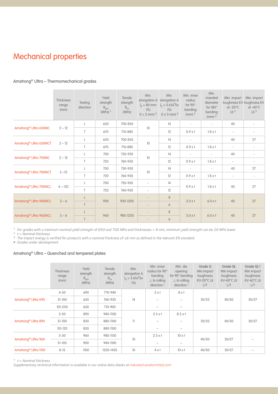## Mechanical properties

|                                    | Thickness<br>range<br>(mm) | Testing<br>direction | Yield<br>strength<br>$R_{eH}$<br>$(MPa)$ <sup>1</sup> | Tensile<br>strength<br>$R_{\rm m}$<br>(MPa) | Min.<br>(% )<br>$(t < 3$ mm $)^2$ | Min.<br>elongation A elongation A<br>$I_0 = 80$ mm $I_0 = 5.65\sqrt{5}$ o<br>(% )<br>$(t \ge 3$ mm) <sup>2</sup> | Min. inner<br>radius<br>for $90^\circ$<br>bending<br>$(mm)$ <sup>2</sup> | Min.<br>mandrel<br>diameter<br>for 180°<br>bending<br>$(mm)$ <sup>2</sup> | Min. impact<br>$at -20^{\circ}$ C<br>$(J)$ 3 | Min. impact<br>toughness KV toughness KV<br>$at -40^{\circ}$ C<br>$(J)$ 3 |  |
|------------------------------------|----------------------------|----------------------|-------------------------------------------------------|---------------------------------------------|-----------------------------------|------------------------------------------------------------------------------------------------------------------|--------------------------------------------------------------------------|---------------------------------------------------------------------------|----------------------------------------------|---------------------------------------------------------------------------|--|
|                                    |                            |                      | 650                                                   | 700-850                                     |                                   | 14                                                                                                               |                                                                          | $\overline{\phantom{a}}$                                                  | 40                                           |                                                                           |  |
| Amstrong <sup>®</sup> Ultra 650MC  | $2 - 12$                   | $\top$               | 670                                                   | 710-880                                     | 10                                | 12                                                                                                               | $0.9\times1$                                                             | $1.8 \times t$                                                            | $\overline{\phantom{a}}$                     |                                                                           |  |
|                                    | $2 - 12$                   |                      | 650                                                   | 700-850                                     | 10                                | 14                                                                                                               | $\overline{\phantom{a}}$                                                 | $\sim$                                                                    | 40                                           | 27                                                                        |  |
| Amstrong <sup>®</sup> Ultra 650MCT |                            | $\top$               | 670                                                   | 710-880                                     |                                   | 12                                                                                                               | $0.9 \times t$                                                           | $1.8 \times t$                                                            | $\overline{\phantom{a}}$                     |                                                                           |  |
| Amstrong <sup>®</sup> Ultra 700MC  | $2 - 12$                   | L                    | 700                                                   | 750-930                                     | 10                                | 14                                                                                                               |                                                                          |                                                                           | 40                                           |                                                                           |  |
|                                    |                            | T.                   | 720                                                   | 760-950                                     |                                   | 12                                                                                                               | $0.9\times1$                                                             | $1.8 \times t$                                                            | $\overline{\phantom{a}}$                     |                                                                           |  |
| Amstrong <sup>®</sup> Ultra 700MCT | $2 - 12$                   | L                    | 700                                                   | 750-930                                     | 10                                | 14                                                                                                               | $\overline{\phantom{a}}$                                                 | $\overline{\phantom{a}}$                                                  | 40                                           | 27                                                                        |  |
|                                    |                            | $\top$               | 720                                                   | 760-950                                     |                                   | 12                                                                                                               | $0.9 \times t$                                                           | $1.8 \times t$                                                            | $\overline{\phantom{a}}$                     | $\overline{\phantom{a}}$                                                  |  |
| Amstrong <sup>®</sup> Ultra 700MCL | $6 - (12)$                 | L                    | 700                                                   | 750-930                                     | $\overline{\phantom{0}}$          | 14                                                                                                               | $0.9 \times t$                                                           | $1.8 \times t$                                                            | 40                                           | 27                                                                        |  |
|                                    |                            | $\top$               | 720                                                   | 760-950                                     |                                   | 12                                                                                                               |                                                                          |                                                                           |                                              |                                                                           |  |
| Amstrong <sup>®</sup> Ultra 900MCL | $3 - 6$                    | L                    | 900                                                   | 930-1200                                    |                                   | 8                                                                                                                | $3.0 \times t$                                                           | $6.0 \times t$                                                            | 40                                           | 27                                                                        |  |
|                                    |                            | $\top$               |                                                       |                                             |                                   | 6                                                                                                                |                                                                          |                                                                           |                                              |                                                                           |  |
| Amstrong <sup>®</sup> Ultra 960MCL | $3 - 6$                    |                      | 960                                                   | 980-1250                                    |                                   | 8                                                                                                                | $3.0 \times t$                                                           | $6.0 \times t$                                                            | 40                                           | 27                                                                        |  |
|                                    |                            | T                    |                                                       |                                             |                                   | 6                                                                                                                |                                                                          |                                                                           |                                              |                                                                           |  |

### Amstrong® Ultra – Thermomechanical grades

*1 For grades with a minimum nominal yield strength of 650 and 700 MPa and thicknesses > 8 mm, minimum yield strength can be 20 MPa lower.*

*2 t = Nominal thickness*

*3 The impact energy is verified for products with a nominal thickness of ≥6 mm as defined in the relevant EN standard.*

/ *Grades under development*

### Amstrong® Ultra – Quenched and tempered plates

|                                  | <b>Thickness</b><br>range<br>(mm) | Yield<br>strength<br>$R_{eH}$<br>(MPa) | Tensile<br>strength<br>$R_{m}$<br>(MPa) | Min.<br>elongation A<br>$I_0 = 5.65\sqrt{50}$<br>(% ) | Min. inner<br>radius for 90°<br>bending<br>$\perp$ to rolling<br>direction <sup>1</sup> | Min. die<br>opening<br>for 90° bending<br>$\perp$ to rolling<br>direction $1$ | Grade Q<br>Min impact<br>toughness<br>$KV-20°C$ (J)<br>L/T | Grade QL<br>Min impact<br>toughness<br>$KV-40^{\circ}C$ (J)<br>L/T | Grade QL1<br>Min impact<br>toughness<br>$KV-60^{\circ}C$ (J)<br>L/T |  |
|----------------------------------|-----------------------------------|----------------------------------------|-----------------------------------------|-------------------------------------------------------|-----------------------------------------------------------------------------------------|-------------------------------------------------------------------------------|------------------------------------------------------------|--------------------------------------------------------------------|---------------------------------------------------------------------|--|
|                                  | $4 - 50$                          | 690                                    | 770-940                                 |                                                       | $2 \times t$                                                                            | $8 \times 1$                                                                  |                                                            |                                                                    |                                                                     |  |
| Amstrong <sup>®</sup> Ultra 690  | $51-100$                          | 650                                    | 760-930                                 | 14                                                    |                                                                                         |                                                                               | 50/35                                                      | 40/30                                                              | 30/27                                                               |  |
|                                  | 101-250                           | 630                                    | 710-900                                 |                                                       |                                                                                         |                                                                               |                                                            |                                                                    |                                                                     |  |
|                                  | $5 - 50$                          | 890                                    | 940-1100                                |                                                       | $2.5 \times t$                                                                          | $8.5 \times t$                                                                |                                                            | 40/30                                                              |                                                                     |  |
| Amstrong <sup>®</sup> Ultra 890  | $51-100$                          | 830                                    | 880-1100                                | 11                                                    |                                                                                         |                                                                               | 50/35                                                      |                                                                    | 30/27                                                               |  |
|                                  | $101 - 120$                       | 830                                    | 880-1100                                |                                                       |                                                                                         |                                                                               |                                                            |                                                                    |                                                                     |  |
|                                  | $5 - 50$                          | 960                                    | 980-1150                                |                                                       | $2.5 \times t$                                                                          | $10 \times t$                                                                 |                                                            |                                                                    |                                                                     |  |
| Amstrong <sup>®</sup> Ultra 960  | $51 - 105$                        | 900                                    | 940-1100                                | 10                                                    |                                                                                         |                                                                               | 40/30                                                      | 30/27                                                              |                                                                     |  |
| Amstrong <sup>®</sup> Ultra 1100 | $8 - 15$                          | 1100                                   | 1250-1450                               | 10                                                    | $4 \times 1$                                                                            | $10 \times t$                                                                 | 40/30                                                      | 30/27                                                              |                                                                     |  |

*1 t = Nominal thickness*

*Supplementary technical information is available in our online data sheets at industeel.arcelormittal.com*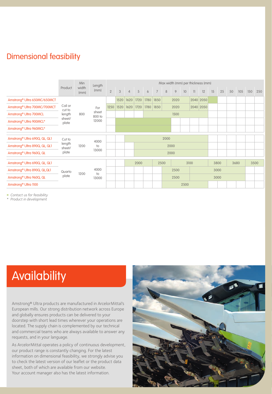## Dimensional feasibility

|                                           |                                                | Min           | Length                          | Max width (mm) per thickness (mm) |      |                |                      |      |                |      |      |      |                         |           |    |    |      |     |     |     |
|-------------------------------------------|------------------------------------------------|---------------|---------------------------------|-----------------------------------|------|----------------|----------------------|------|----------------|------|------|------|-------------------------|-----------|----|----|------|-----|-----|-----|
|                                           | Product                                        | width<br>(mm) | (mm)                            | $\overline{2}$                    | 3    | $\overline{4}$ | 5                    | 6    | $\overline{7}$ | 8    | 9    | 10   | $\overline{\mathbf{u}}$ | 12        | 15 | 25 | 50   | 105 | 150 | 250 |
| Amstrong <sup>®</sup> Ultra 650MC/650MCT  | Coil or<br>cut to<br>length<br>sheet/<br>plate | 800           | For<br>sheet<br>800 to<br>12000 |                                   | 1520 | 1620           | 1720                 | 1780 | 1850           |      | 2020 |      |                         | 2040 2050 |    |    |      |     |     |     |
| Amstrong <sup>®</sup> Ultra 700MC/700MCT  |                                                |               |                                 | 1250                              | 1520 | 1620           | 1720                 | 1780 | 1850           |      | 2020 |      |                         | 2040 2050 |    |    |      |     |     |     |
| Amstrong <sup>®</sup> Ultra 700MCL        |                                                |               |                                 |                                   |      | 1500           |                      |      |                |      |      |      |                         |           |    |    |      |     |     |     |
| Amstrong <sup>®</sup> Ultra 900MCL*       |                                                |               |                                 |                                   |      |                |                      |      |                |      |      |      |                         |           |    |    |      |     |     |     |
| Amstrong <sup>®</sup> Ultra 960MCL*       |                                                |               |                                 |                                   |      |                |                      |      |                |      |      |      |                         |           |    |    |      |     |     |     |
| Amstrong <sup>®</sup> Ultra 690Q, QL, QL1 | Cut to                                         | 1200          | 4000<br>$10$<br>13000           |                                   | 2000 |                |                      |      |                |      |      |      |                         |           |    |    |      |     |     |     |
| Amstrong <sup>®</sup> Ultra 890Q, QL, QL1 | length<br>sheet/                               |               |                                 |                                   |      | 2000           |                      |      |                |      |      |      |                         |           |    |    |      |     |     |     |
| Amstrong <sup>®</sup> Ultra 960Q, QL      | plate                                          |               |                                 |                                   | 2000 |                |                      |      |                |      |      |      |                         |           |    |    |      |     |     |     |
| Amstrong <sup>®</sup> Ultra 690Q, QL, QL1 |                                                |               |                                 |                                   |      |                | 3100<br>2000<br>2500 |      |                |      |      | 3800 |                         | 3680      |    |    | 3500 |     |     |     |
| Amstrong <sup>®</sup> Ultra 890Q, QL, QL1 | Quarto                                         |               | 4000<br>$10$<br>13000           |                                   |      | 2500<br>3000   |                      |      |                |      |      |      |                         |           |    |    |      |     |     |     |
| Amstrong <sup>®</sup> Ultra 960Q, QL      | plate                                          | 1200          |                                 |                                   |      | 2500           |                      |      |                | 3000 |      |      |                         |           |    |    |      |     |     |     |
| Amstrong <sup>®</sup> Ultra 1100          |                                                |               |                                 |                                   | 2500 |                |                      |      |                |      |      |      |                         |           |    |    |      |     |     |     |

/ *Contact us for feasibility* 

*\* Product in development*

## **Availability**

Amstrong® Ultra products are manufactured in ArcelorMittal's European mills. Our strong distribution network across Europe and globally ensures products can be delivered to your doorstep with short lead times wherever your operations are located. The supply chain is complemented by our technical and commercial teams who are always available to answer any requests, and in your language.

As ArcelorMittal operates a policy of continuous development, our product range is constantly changing. For the latest information on dimensional feasibility, we strongly advise you to check the latest version of our leaflet or the product data sheet, both of which are available from our website. Your account manager also has the latest information.

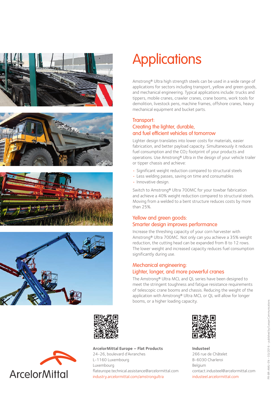







# **Applications**

Amstrong® Ultra high strength steels can be used in a wide range of applications for sectors including transport, yellow and green goods, and mechanical engineering. Typical applications include: trucks and tippers, mobile cranes, crawler cranes, crane booms, work tools for demolition, livestock pens, machine frames, offshore cranes, heavy mechanical equipment and bucket parts.

### Transport: Creating the lighter, durable, and fuel efficient vehicles of tomorrow

Lighter design translates into lower costs for materials, easier fabrication, and better payload capacity. Simultaneously it reduces fuel consumption and the CO<sub>2</sub> footprint of your products and operations. Use Amstrong® Ultra in the design of your vehicle trailer or tipper chassis and achieve:

- Significant weight reduction compared to structural steels
- Less welding passes, saving on time and consumables
- Innovative design.

Switch to Amstrong® Ultra 700MC for your towbar fabrication and achieve a 40% weight reduction compared to structural steels. Moving from a welded to a bent structure reduces costs by more than 25%.

### Yellow and green goods: Smarter design improves performance

Increase the threshing capacity of your corn harvester with Amstrong® Ultra 700MC. Not only can you achieve a 35% weight reduction, the cutting head can be expanded from 8 to 12 rows. The lower weight and increased capacity reduces fuel consumption significantly during use.

### Mechanical engineering: Lighter, longer, and more powerful cranes

The Amstrong® Ultra MCL and QL series have been designed to meet the stringent toughness and fatigue resistance requirements of telescopic crane booms and chassis. Reducing the weight of the application with Amstrong® Ultra MCL or QL will allow for longer booms, or a higher loading capacity.





**ArcelorMittal Europe – Flat Products** 24-26, boulevard d'Avranches L-1160 Luxembourg Luxembourg flateurope.technical.assistance@arcelormittal.com industry.arcelormittal.com/amstrongultra



**Industeel** 266 rue de Châtelet B-6030 Charleroi Belgium contact.industeel@arcelormittal.com industeel.arcelormittal.com